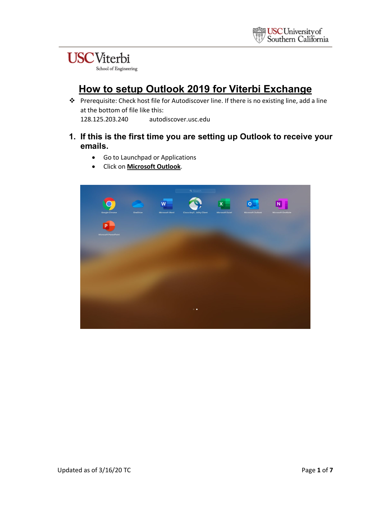#### **USC**Viterbi School of Engineering

### **How to setup Outlook 2019 for Viterbi Exchange**

 Prerequisite: Check host file for Autodiscover line. If there is no existing line, add a line at the bottom of file like this: 128.125.203.240 autodiscover.usc.edu

#### **1. If this is the first time you are setting up Outlook to receive your emails.**

- Go to Launchpad or Applications
- Click on **Microsoft Outlook**.

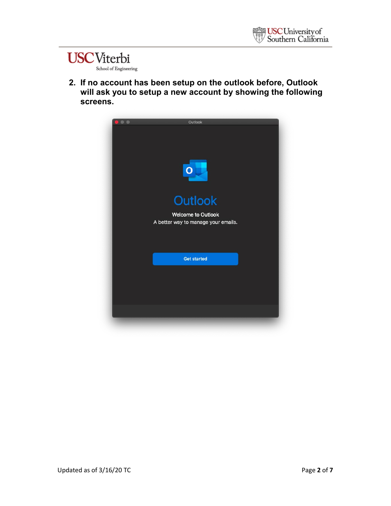#### **USC**Viterbi School of Engineering

**2. If no account has been setup on the outlook before, Outlook will ask you to setup a new account by showing the following screens.**

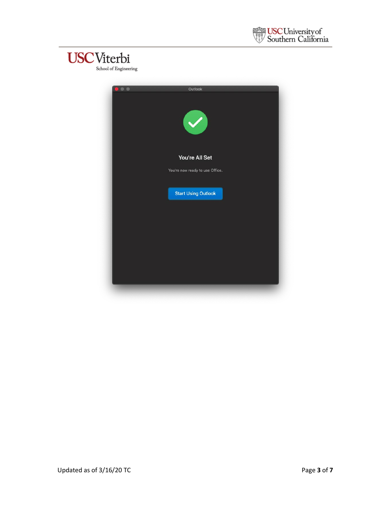



| $\bullet$ $\bullet$ | Outlook<br>$\blacktriangledown$                   |
|---------------------|---------------------------------------------------|
|                     | You're All Set<br>You're now ready to use Office. |
|                     | <b>Start Using Outlook</b>                        |
|                     |                                                   |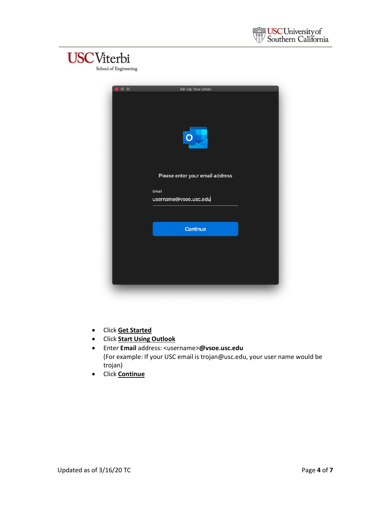



| $\bullet$ $\bullet$ | Set Up Your Email               |
|---------------------|---------------------------------|
|                     |                                 |
|                     |                                 |
|                     | O                               |
|                     | Please enter your email address |
|                     | Email                           |
|                     | username@vsoe.usc.edu           |
|                     |                                 |
|                     | Continue                        |
|                     |                                 |
|                     |                                 |
|                     |                                 |
|                     |                                 |
|                     |                                 |

- Click **Get Started**
- Click **Start Using Outlook**
- Enter **Email** address: <username>**@vsoe.usc.edu** (For example: If your USC email is trojan@usc.edu, your user name would be trojan)
- Click **Continue**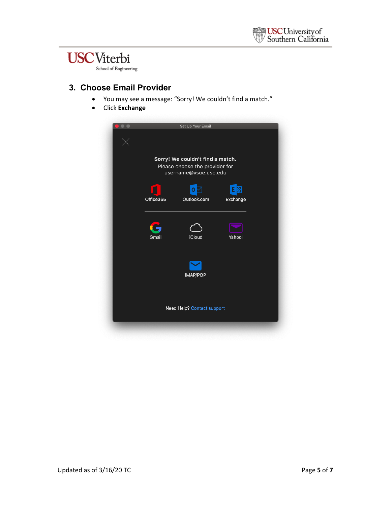# **USC**Viterbi

School of Engineering

#### **3. Choose Email Provider**

- You may see a message: "Sorry! We couldn't find a match."
- Click **Exchange**

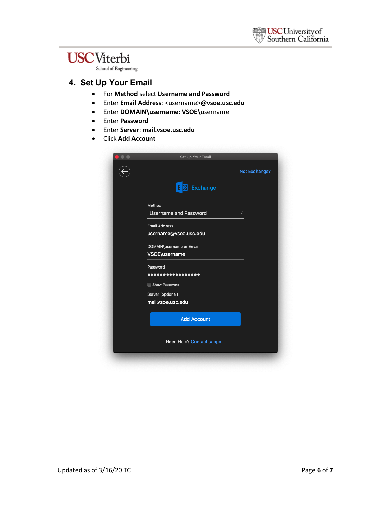## **USC**Viterbi

School of Engineering

#### **4. Set Up Your Email**

- For **Method** select **Username and Password**
- Enter **Email Address**: <username>**@vsoe.usc.edu**
- Enter **DOMAIN\username**: **VSOE\**username
- Enter **Password**
- Enter **Server**: **mail.vsoe.usc.edu**
- Click **Add Account**

| Set Up Your Email            |                    |
|------------------------------|--------------------|
|                              | Not Exchange?      |
| E)<br>Exchange               |                    |
| Method                       |                    |
| <b>Username and Password</b> | $\hat{\mathbf{C}}$ |
| <b>Email Address</b>         |                    |
| username@vsoe.usc.edu        |                    |
| DOMAIN\username or Email     |                    |
| VSOE\username                |                    |
| Password                     |                    |
|                              |                    |
| Show Password                |                    |
| Server (optional)            |                    |
| mail.vsoe.usc.edu            |                    |
| <b>Add Account</b>           |                    |
| Need Help? Contact support   |                    |
|                              |                    |